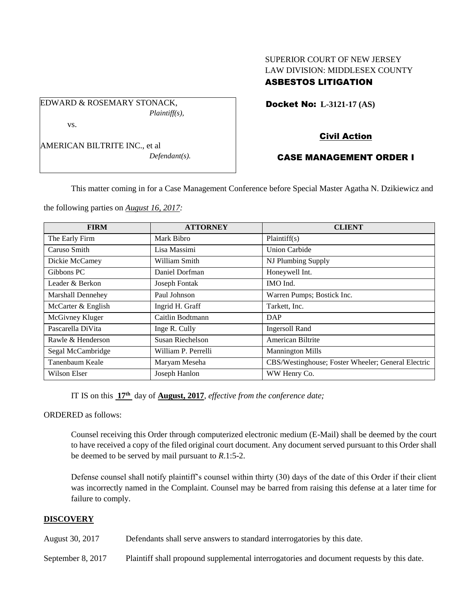## SUPERIOR COURT OF NEW JERSEY LAW DIVISION: MIDDLESEX COUNTY ASBESTOS LITIGATION

Docket No: **L-3121-17 (AS)** 

EDWARD & ROSEMARY STONACK, *Plaintiff(s),* vs.

AMERICAN BILTRITE INC., et al

*Defendant(s).*

# Civil Action

## CASE MANAGEMENT ORDER I

This matter coming in for a Case Management Conference before Special Master Agatha N. Dzikiewicz and

the following parties on *August 16, 2017:*

| <b>FIRM</b>        | <b>ATTORNEY</b>     | <b>CLIENT</b>                                      |
|--------------------|---------------------|----------------------------------------------------|
| The Early Firm     | Mark Bibro          | Plaintiff(s)                                       |
| Caruso Smith       | Lisa Massimi        | Union Carbide                                      |
| Dickie McCamey     | William Smith       | NJ Plumbing Supply                                 |
| Gibbons PC         | Daniel Dorfman      | Honeywell Int.                                     |
| Leader & Berkon    | Joseph Fontak       | IMO Ind.                                           |
| Marshall Dennehey  | Paul Johnson        | Warren Pumps; Bostick Inc.                         |
| McCarter & English | Ingrid H. Graff     | Tarkett, Inc.                                      |
| McGivney Kluger    | Caitlin Bodtmann    | DAP                                                |
| Pascarella DiVita  | Inge R. Cully       | <b>Ingersoll Rand</b>                              |
| Rawle & Henderson  | Susan Riechelson    | American Biltrite                                  |
| Segal McCambridge  | William P. Perrelli | <b>Mannington Mills</b>                            |
| Tanenbaum Keale    | Maryam Meseha       | CBS/Westinghouse; Foster Wheeler; General Electric |
| Wilson Elser       | Joseph Hanlon       | WW Henry Co.                                       |

IT IS on this **17th** day of **August, 2017**, *effective from the conference date;*

ORDERED as follows:

Counsel receiving this Order through computerized electronic medium (E-Mail) shall be deemed by the court to have received a copy of the filed original court document. Any document served pursuant to this Order shall be deemed to be served by mail pursuant to *R*.1:5-2.

Defense counsel shall notify plaintiff's counsel within thirty (30) days of the date of this Order if their client was incorrectly named in the Complaint. Counsel may be barred from raising this defense at a later time for failure to comply.

### **DISCOVERY**

August 30, 2017 Defendants shall serve answers to standard interrogatories by this date.

September 8, 2017 Plaintiff shall propound supplemental interrogatories and document requests by this date.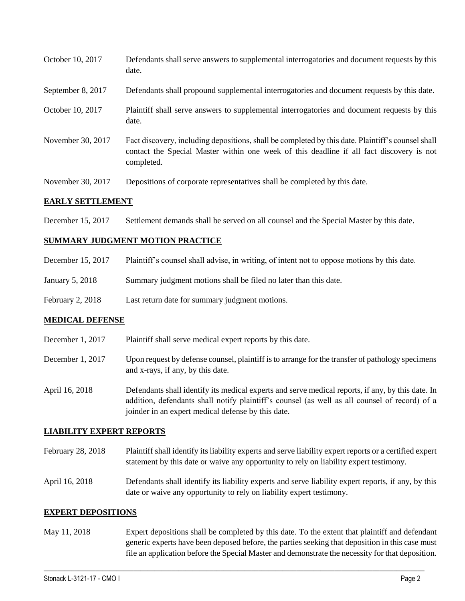| October 10, 2017  | Defendants shall serve answers to supplemental interrogatories and document requests by this<br>date.                                                                                                       |
|-------------------|-------------------------------------------------------------------------------------------------------------------------------------------------------------------------------------------------------------|
| September 8, 2017 | Defendants shall propound supplemental interrogatories and document requests by this date.                                                                                                                  |
| October 10, 2017  | Plaintiff shall serve answers to supplemental interrogatories and document requests by this<br>date.                                                                                                        |
| November 30, 2017 | Fact discovery, including depositions, shall be completed by this date. Plaintiff's counsel shall<br>contact the Special Master within one week of this deadline if all fact discovery is not<br>completed. |
| November 30, 2017 | Depositions of corporate representatives shall be completed by this date.                                                                                                                                   |

### **EARLY SETTLEMENT**

December 15, 2017 Settlement demands shall be served on all counsel and the Special Master by this date.

#### **SUMMARY JUDGMENT MOTION PRACTICE**

| December 15, 2017 | Plaintiff's counsel shall advise, in writing, of intent not to oppose motions by this date. |  |  |
|-------------------|---------------------------------------------------------------------------------------------|--|--|
|                   |                                                                                             |  |  |

- January 5, 2018 Summary judgment motions shall be filed no later than this date.
- February 2, 2018 Last return date for summary judgment motions.

### **MEDICAL DEFENSE**

- December 1, 2017 Plaintiff shall serve medical expert reports by this date. December 1, 2017 Upon request by defense counsel, plaintiff is to arrange for the transfer of pathology specimens and x-rays, if any, by this date.
- April 16, 2018 Defendants shall identify its medical experts and serve medical reports, if any, by this date. In addition, defendants shall notify plaintiff's counsel (as well as all counsel of record) of a joinder in an expert medical defense by this date.

#### **LIABILITY EXPERT REPORTS**

- February 28, 2018 Plaintiff shall identify its liability experts and serve liability expert reports or a certified expert statement by this date or waive any opportunity to rely on liability expert testimony.
- April 16, 2018 Defendants shall identify its liability experts and serve liability expert reports, if any, by this date or waive any opportunity to rely on liability expert testimony.

#### **EXPERT DEPOSITIONS**

May 11, 2018 Expert depositions shall be completed by this date. To the extent that plaintiff and defendant generic experts have been deposed before, the parties seeking that deposition in this case must file an application before the Special Master and demonstrate the necessity for that deposition.

 $\_$  ,  $\_$  ,  $\_$  ,  $\_$  ,  $\_$  ,  $\_$  ,  $\_$  ,  $\_$  ,  $\_$  ,  $\_$  ,  $\_$  ,  $\_$  ,  $\_$  ,  $\_$  ,  $\_$  ,  $\_$  ,  $\_$  ,  $\_$  ,  $\_$  ,  $\_$  ,  $\_$  ,  $\_$  ,  $\_$  ,  $\_$  ,  $\_$  ,  $\_$  ,  $\_$  ,  $\_$  ,  $\_$  ,  $\_$  ,  $\_$  ,  $\_$  ,  $\_$  ,  $\_$  ,  $\_$  ,  $\_$  ,  $\_$  ,